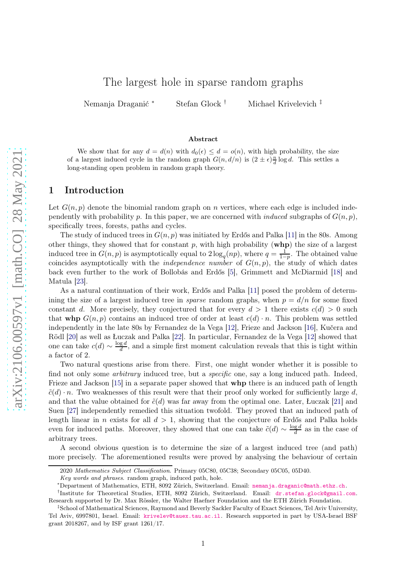# The largest hole in sparse random graphs

Nemanja Draganić <sup>∗</sup> Stefan Glock † Michael Krivelevich ‡

#### Abstract

We show that for any  $d = d(n)$  with  $d_0(\epsilon) \leq d = o(n)$ , with high probability, the size of a largest induced cycle in the random graph  $G(n, d/n)$  is  $(2 \pm \epsilon) \frac{n}{d} \log d$ . This settles a long-standing open problem in random graph theory.

# 1 Introduction

Let  $G(n, p)$  denote the binomial random graph on n vertices, where each edge is included independently with probability p. In this paper, we are concerned with *induced* subgraphs of  $G(n, p)$ , specifically trees, forests, paths and cycles.

The study of induced trees in  $G(n, p)$  was initiated by Erdős and Palka [\[11\]](#page-10-0) in the 80s. Among other things, they showed that for constant  $p$ , with high probability ( $whp$ ) the size of a largest induced tree in  $G(n, p)$  is asymptotically equal to  $2 \log_q(np)$ , where  $q = \frac{1}{1-p}$  $\frac{1}{1-p}$ . The obtained value coincides asymptotically with the *independence number* of  $G(n, p)$ , the study of which dates back even further to the work of Bollobás and Erdős [\[5\]](#page-9-0), Grimmett and McDiarmid [\[18\]](#page-10-1) and Matula [\[23\]](#page-10-2).

As a natural continuation of their work, Erdős and Palka [\[11\]](#page-10-0) posed the problem of determining the size of a largest induced tree in *sparse* random graphs, when  $p = d/n$  for some fixed constant d. More precisely, they conjectured that for every  $d > 1$  there exists  $c(d) > 0$  such that whp  $G(n, p)$  contains an induced tree of order at least  $c(d) \cdot n$ . This problem was settled independently in the late 80s by Fernandez de la Vega [\[12\]](#page-10-3), Frieze and Jackson [\[16\]](#page-10-4), Kučera and Rödl [\[20\]](#page-10-5) as well as Łuczak and Palka [\[22\]](#page-10-6). In particular, Fernandez de la Vega [\[12\]](#page-10-3) showed that one can take  $c(d) \sim \frac{\log d}{d}$  $\frac{g}{d}$ , and a simple first moment calculation reveals that this is tight within a factor of 2.

Two natural questions arise from there. First, one might wonder whether it is possible to find not only some *arbitrary* induced tree, but a *specific* one, say a long induced path. Indeed, Frieze and Jackson [\[15\]](#page-10-7) in a separate paper showed that **whp** there is an induced path of length  $\tilde{c}(d) \cdot n$ . Two weaknesses of this result were that their proof only worked for sufficiently large d, and that the value obtained for  $\tilde{c}(d)$  was far away from the optimal one. Later, Łuczak [\[21\]](#page-10-8) and Suen [\[27\]](#page-10-9) independently remedied this situation twofold. They proved that an induced path of length linear in n exists for all  $d > 1$ , showing that the conjecture of Erdős and Palka holds even for induced paths. Moreover, they showed that one can take  $\tilde{c}(d) \sim \frac{\log d}{d}$  $\frac{g}{d}$  as in the case of arbitrary trees.

A second obvious question is to determine the size of a largest induced tree (and path) more precisely. The aforementioned results were proved by analysing the behaviour of certain

<sup>2020</sup> Mathematics Subject Classification. Primary 05C80, 05C38; Secondary 05C05, 05D40.

Key words and phrases. random graph, induced path, hole.

<sup>∗</sup>Department of Mathematics, ETH, 8092 Zürich, Switzerland. Email: [nemanja.draganic@math.ethz.ch](mailto:nemanja.draganic@math.ethz.ch).

<sup>&</sup>lt;sup>†</sup>Institute for Theoretical Studies, ETH, 8092 Zürich, Switzerland. Email: [dr.stefan.glock@gmail.com](mailto:dr.stefan.glock@gmail.com). Research supported by Dr. Max Rössler, the Walter Haefner Foundation and the ETH Zürich Foundation.

<sup>‡</sup> School of Mathematical Sciences, Raymond and Beverly Sackler Faculty of Exact Sciences, Tel Aviv University, Tel Aviv, 6997801, Israel. Email: [krivelev@tauex.tau.ac.il](mailto:krivelev@tauex.tau.ac.il). Research supported in part by USA-Israel BSF grant 2018267, and by ISF grant 1261/17.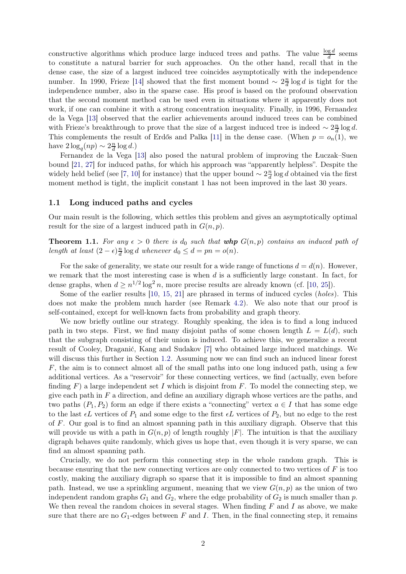constructive algorithms which produce large induced trees and paths. The value  $\frac{\log d}{d}$  seems to constitute a natural barrier for such approaches. On the other hand, recall that in the dense case, the size of a largest induced tree coincides asymptotically with the independence number. In 1990, Frieze [\[14\]](#page-10-10) showed that the first moment bound  $\sim 2\frac{n}{d}$  $\frac{n}{d} \log d$  is tight for the independence number, also in the sparse case. His proof is based on the profound observation that the second moment method can be used even in situations where it apparently does not work, if one can combine it with a strong concentration inequality. Finally, in 1996, Fernandez de la Vega [\[13\]](#page-10-11) observed that the earlier achievements around induced trees can be combined with Frieze's breakthrough to prove that the size of a largest induced tree is indeed  $\sim 2\frac{n}{d}$  $\frac{n}{d} \log d$ . This complements the result of Erdős and Palka [\[11\]](#page-10-0) in the dense case. (When  $p = o_n(1)$ , we have  $2\log_q(np) \sim 2\frac{n}{d}$  $\frac{n}{d} \log d$ .)

Fernandez de la Vega [\[13\]](#page-10-11) also posed the natural problem of improving the Łuczak–Suen bound [\[21,](#page-10-8) [27\]](#page-10-9) for induced paths, for which his approach was "apparently helpless". Despite the widely held belief (see [\[7,](#page-9-1) [10\]](#page-10-12) for instance) that the upper bound  $\sim 2\frac{n}{d}$  $\frac{n}{d} \log d$  obtained via the first moment method is tight, the implicit constant 1 has not been improved in the last 30 years.

#### <span id="page-1-1"></span>1.1 Long induced paths and cycles

Our main result is the following, which settles this problem and gives an asymptotically optimal result for the size of a largest induced path in  $G(n, p)$ .

<span id="page-1-0"></span>**Theorem 1.1.** For any  $\epsilon > 0$  there is  $d_0$  such that whp  $G(n, p)$  contains an induced path of *length at least*  $(2 - \epsilon) \frac{n}{d}$  $\frac{d}{d} \log d$  whenever  $d_0 \leq d = pn = o(n)$ .

For the sake of generality, we state our result for a wide range of functions  $d = d(n)$ . However, we remark that the most interesting case is when  $d$  is a sufficiently large constant. In fact, for dense graphs, when  $d \geq n^{1/2} \log^2 n$ , more precise results are already known (cf. [\[10,](#page-10-12) [25\]](#page-10-13)).

Some of the earlier results [\[10,](#page-10-12) [15,](#page-10-7) [21\]](#page-10-8) are phrased in terms of induced cycles (*holes*). This does not make the problem much harder (see Remark [4.2\)](#page-8-0). We also note that our proof is self-contained, except for well-known facts from probability and graph theory.

We now briefly outline our strategy. Roughly speaking, the idea is to find a long induced path in two steps. First, we find many disjoint paths of some chosen length  $L = L(d)$ , such that the subgraph consisting of their union is induced. To achieve this, we generalize a recent result of Cooley, Draganić, Kang and Sudakov [\[7\]](#page-9-1) who obtained large induced matchings. We will discuss this further in Section [1.2.](#page-2-0) Assuming now we can find such an induced linear forest  $F$ , the aim is to connect almost all of the small paths into one long induced path, using a few additional vertices. As a "reservoir" for these connecting vertices, we find (actually, even before finding  $F$ ) a large independent set I which is disjoint from F. To model the connecting step, we give each path in  $F$  a direction, and define an auxiliary digraph whose vertices are the paths, and two paths  $(P_1, P_2)$  form an edge if there exists a "connecting" vertex  $a \in I$  that has some edge to the last  $\epsilon L$  vertices of  $P_1$  and some edge to the first  $\epsilon L$  vertices of  $P_2$ , but no edge to the rest of F. Our goal is to find an almost spanning path in this auxiliary digraph. Observe that this will provide us with a path in  $G(n, p)$  of length roughly  $|F|$ . The intuition is that the auxiliary digraph behaves quite randomly, which gives us hope that, even though it is very sparse, we can find an almost spanning path.

Crucially, we do not perform this connecting step in the whole random graph. This is because ensuring that the new connecting vertices are only connected to two vertices of F is too costly, making the auxiliary digraph so sparse that it is impossible to find an almost spanning path. Instead, we use a sprinkling argument, meaning that we view  $G(n, p)$  as the union of two independent random graphs  $G_1$  and  $G_2$ , where the edge probability of  $G_2$  is much smaller than p. We then reveal the random choices in several stages. When finding  $F$  and  $I$  as above, we make sure that there are no  $G_1$ -edges between F and I. Then, in the final connecting step, it remains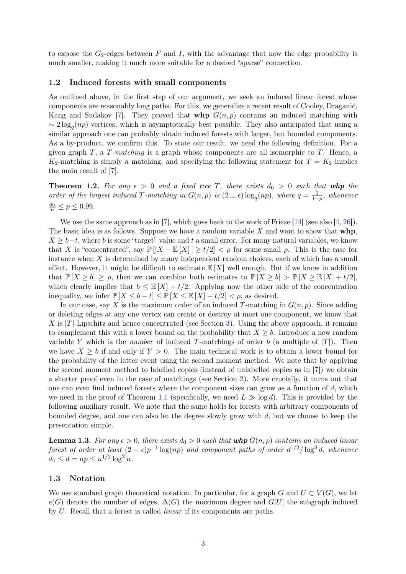to expose the  $G_2$ -edges between F and I, with the advantage that now the edge probability is much smaller, making it much more suitable for a desired "sparse" connection.

#### <span id="page-2-0"></span>1.2 Induced forests with small components

As outlined above, in the first step of our argument, we seek an induced linear forest whose components are reasonably long paths. For this, we generalize a recent result of Cooley, Draganić, Kang and Sudakov [\[7\]](#page-9-1). They proved that whp  $G(n, p)$  contains an induced matching with  $\sim 2 \log_q(np)$  vertices, which is asymptotically best possible. They also anticipated that using a similar approach one can probably obtain induced forests with larger, but bounded components. As a by-product, we confirm this. To state our result, we need the following definition. For a given graph T, a T*-matching* is a graph whose components are all isomorphic to T. Hence, a  $K_2$ -matching is simply a matching, and specifying the following statement for  $T = K_2$  implies the main result of [\[7\]](#page-9-1).

<span id="page-2-1"></span>**Theorem 1.2.** For any  $\epsilon > 0$  and a fixed tree T, there exists  $d_0 > 0$  such that whp the *order of the largest induced* T-matching in  $G(n, p)$  is  $(2 \pm \epsilon) \log_q(np)$ , where  $q = \frac{1}{1-p}$  $\frac{1}{1-p}$ *, whenever*  $\frac{d_0}{n} \le p \le 0.99.$ 

We use the same approach as in [\[7\]](#page-9-1), which goes back to the work of Frieze [\[14\]](#page-10-10) (see also [\[4,](#page-9-2) [26\]](#page-10-14)). The basic idea is as follows. Suppose we have a random variable  $X$  and want to show that  $whp$ ,  $X \geq b-t$ , where b is some "target" value and t a small error. For many natural variables, we know that X is "concentrated", say  $\mathbb{P}[|X - \mathbb{E}[X]| \ge t/2] < \rho$  for some small  $\rho$ . This is the case for instance when  $X$  is determined by many independent random choices, each of which has a small effect. However, it might be difficult to estimate  $\mathbb{E}[X]$  well enough. But if we know in addition that  $\mathbb{P}[X \geq b] \geq \rho$ , then we can combine both estimates to  $\mathbb{P}[X \geq b] > \mathbb{P}[X \geq \mathbb{E}[X] + t/2]$ , which clearly implies that  $b \leq \mathbb{E}[X] + t/2$ . Applying now the other side of the concentration inequality, we infer  $\mathbb{P}[X \leq b - t] \leq \mathbb{P}[X \leq \mathbb{E}[X] - t/2] \leq \rho$ , as desired.

In our case, say X is the maximum order of an induced T-matching in  $G(n, p)$ . Since adding or deleting edges at any one vertex can create or destroy at most one component, we know that X is  $|T|$ -Lipschitz and hence concentrated (see Section [3\)](#page-5-0). Using the above approach, it remains to complement this with a lower bound on the probability that  $X \geq b$ . Introduce a new random variable Y which is the *number* of induced T-matchings of order b (a multiple of  $|T|$ ). Then we have  $X \geq b$  if and only if  $Y > 0$ . The main technical work is to obtain a lower bound for the probability of the latter event using the second moment method. We note that by applying the second moment method to labelled copies (instead of unlabelled copies as in [\[7\]](#page-9-1)) we obtain a shorter proof even in the case of matchings (see Section [2\)](#page-3-0). More crucially, it turns out that one can even find induced forests where the component sizes can grow as a function of  $d$ , which we need in the proof of Theorem [1.1](#page-1-0) (specifically, we need  $L \gg \log d$ ). This is provided by the following auxiliary result. We note that the same holds for forests with arbitrary components of bounded degree, and one can also let the degree slowly grow with  $d$ , but we choose to keep the presentation simple.

<span id="page-2-2"></span>**Lemma 1.3.** For any  $\epsilon > 0$ , there exists  $d_0 > 0$  such that whp  $G(n, p)$  contains an induced linear *forest of order at least*  $(2 - \epsilon)p^{-1} \log(np)$  *and component paths of order*  $d^{1/2}/\log^3 d$ , whenever  $d_0 \leq d = np \leq n^{1/2} \log^2 n$ .

#### 1.3 Notation

We use standard graph theoretical notation. In particular, for a graph G and  $U \subset V(G)$ , we let  $e(G)$  denote the number of edges,  $\Delta(G)$  the maximum degree and  $G[U]$  the subgraph induced by U. Recall that a forest is called *linear* if its components are paths.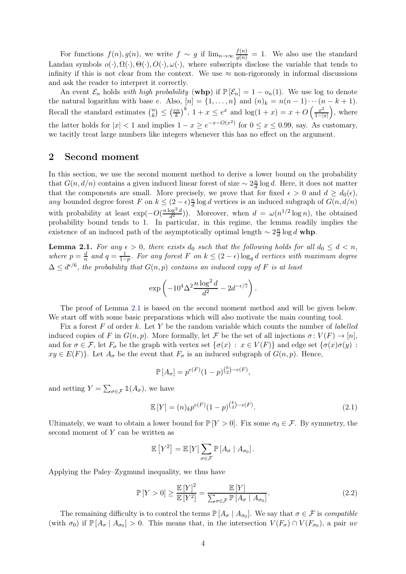For functions  $f(n)$ ,  $g(n)$ , we write  $f \sim g$  if  $\lim_{n \to \infty} \frac{f(n)}{g(n)} = 1$ . We also use the standard Landau symbols  $o(\cdot), \Omega(\cdot), \Theta(\cdot), O(\cdot), \omega(\cdot)$ , where subscripts disclose the variable that tends to infinity if this is not clear from the context. We use  $\approx$  non-rigorously in informal discussions and ask the reader to interpret it correctly.

An event  $\mathcal{E}_n$  holds *with high probability* (whp) if  $\mathbb{P}[\mathcal{E}_n] = 1 - o_n(1)$ . We use log to denote the natural logarithm with base e. Also,  $[n] = \{1, \ldots, n\}$  and  $(n)_k = n(n-1)\cdots(n-k+1)$ . Recall the standard estimates  $\binom{n}{k}$  $\binom{n}{k} \leq \left(\frac{en}{k}\right)$  $\left(\frac{kn}{k}\right)^k$ ,  $1 + x \leq e^x$  and  $\log(1 + x) = x + O\left(\frac{x^2}{1 - |x|}\right)$  $1-|x|$  , where the latter holds for  $|x| < 1$  and implies  $1 - x \ge e^{-x - O(x^2)}$  for  $0 \le x \le 0.99$ , say. As customary, we tacitly treat large numbers like integers whenever this has no effect on the argument.

### <span id="page-3-0"></span>2 Second moment

In this section, we use the second moment method to derive a lower bound on the probability that  $G(n, d/n)$  contains a given induced linear forest of size  $\sim 2\frac{n}{d}$  $\frac{n}{d}$  log d. Here, it does not matter that the components are small. More precisely, we prove that for fixed  $\epsilon > 0$  and  $d \geq d_0(\epsilon)$ , *any* bounded degree forest F on  $k \leq (2 - \epsilon) \frac{n}{d}$  $\frac{n}{d}$  log d vertices is an induced subgraph of  $G(n, d/n)$ with probability at least  $\exp(-O(\frac{n \log^2 d}{d^2}))$  $\frac{\log^2 d}{d^2}$ ). Moreover, when  $d = \omega(n^{1/2} \log n)$ , the obtained probability bound tends to 1. In particular, in this regime, the lemma readily implies the existence of an induced path of the asymptotically optimal length  $\sim 2\frac{n}{d}$  $\frac{n}{d} \log d$  whp.

<span id="page-3-1"></span>**Lemma 2.1.** For any  $\epsilon > 0$ , there exists  $d_0$  such that the following holds for all  $d_0 \leq d < n$ ,  $where$   $p = \frac{d}{n}$  and  $q = \frac{1}{1-p}$ *. For any forest* F *on*  $k \leq (2 - \epsilon) \log_q d$  *vertices with maximum degree*  $\Delta \leq d^{\epsilon/6}$ , the probability that  $G(n, p)$  contains an induced copy of F is at least

$$
\exp\left(-10^4\Delta^2\frac{n\log^2 d}{d^2} - 2d^{-\epsilon/7}\right).
$$

The proof of Lemma [2.1](#page-3-1) is based on the second moment method and will be given below. We start off with some basic preparations which will also motivate the main counting tool.

Fix a forest F of order k. Let Y be the random variable which counts the number of *labelled* induced copies of F in  $G(n, p)$ . More formally, let F be the set of all injections  $\sigma: V(F) \to [n]$ , and for  $\sigma \in \mathcal{F}$ , let  $F_{\sigma}$  be the graph with vertex set  $\{\sigma(x) : x \in V(F)\}\$  and edge set  $\{\sigma(x)\sigma(y) :$  $xy \in E(F)$ . Let  $A_{\sigma}$  be the event that  $F_{\sigma}$  is an induced subgraph of  $G(n, p)$ . Hence,

<span id="page-3-3"></span>
$$
\mathbb{P}[A_{\sigma}] = p^{e(F)}(1-p)^{{k \choose 2} - e(F)},
$$

and setting  $Y = \sum_{\sigma \in \mathcal{F}} \mathbb{1}(A_{\sigma}),$  we have

$$
\mathbb{E}\left[Y\right] = (n)_k p^{e(F)} (1-p)^{\binom{k}{2} - e(F)}.
$$
\n(2.1)

Ultimately, we want to obtain a lower bound for  $\mathbb{P}[Y > 0]$ . Fix some  $\sigma_0 \in \mathcal{F}$ . By symmetry, the second moment of  $Y$  can be written as

<span id="page-3-2"></span>
$$
\mathbb{E}\left[Y^2\right] = \mathbb{E}\left[Y\right] \sum_{\sigma \in \mathcal{F}} \mathbb{P}\left[A_{\sigma} \mid A_{\sigma_0}\right].
$$

Applying the Paley–Zygmund inequality, we thus have

$$
\mathbb{P}\left[Y > 0\right] \ge \frac{\mathbb{E}\left[Y\right]^2}{\mathbb{E}\left[Y^2\right]} = \frac{\mathbb{E}\left[Y\right]}{\sum_{\sigma \in \mathcal{F}} \mathbb{P}\left[A_{\sigma} \mid A_{\sigma_0}\right]}.\tag{2.2}
$$

The remaining difficulty is to control the terms  $\mathbb{P}[A_{\sigma} | A_{\sigma_0}]$ . We say that  $\sigma \in \mathcal{F}$  is *compatible* (with  $\sigma_0$ ) if  $\mathbb{P}[A_{\sigma} | A_{\sigma_0}] > 0$ . This means that, in the intersection  $V(F_{\sigma}) \cap V(F_{\sigma_0})$ , a pair uv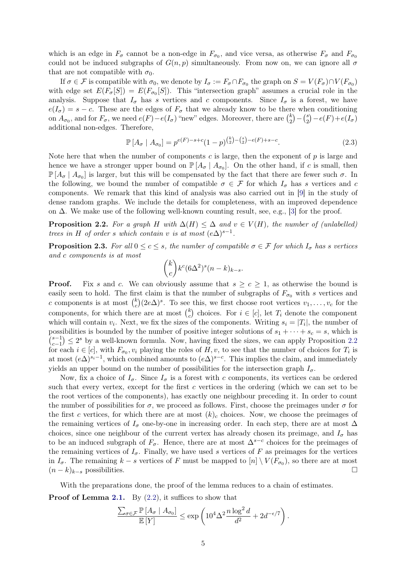which is an edge in  $F_{\sigma}$  cannot be a non-edge in  $F_{\sigma_0}$ , and vice versa, as otherwise  $F_{\sigma}$  and  $F_{\sigma_0}$ could not be induced subgraphs of  $G(n, p)$  simultaneously. From now on, we can ignore all  $\sigma$ that are not compatible with  $\sigma_0$ .

If  $\sigma \in \mathcal{F}$  is compatible with  $\sigma_0$ , we denote by  $I_{\sigma} := F_{\sigma} \cap F_{\sigma_0}$  the graph on  $S = V(F_{\sigma}) \cap V(F_{\sigma_0})$ with edge set  $E(F_{\sigma}[S]) = E(F_{\sigma_0}[S])$ . This "intersection graph" assumes a crucial role in the analysis. Suppose that  $I_{\sigma}$  has s vertices and c components. Since  $I_{\sigma}$  is a forest, we have  $e(I_{\sigma}) = s - c$ . These are the edges of  $F_{\sigma}$  that we already know to be there when conditioning on  $A_{\sigma_0}$ , and for  $F_{\sigma}$ , we need  $e(F) - e(I_{\sigma})$  "new" edges. Moreover, there are  $\binom{k}{2}$  $\binom{k}{2} - \binom{s}{2}$  $e_2^s$ ) –  $e(F) + e(I_{\sigma})$ additional non-edges. Therefore,

<span id="page-4-1"></span>
$$
\mathbb{P}\left[A_{\sigma} \mid A_{\sigma_0}\right] = p^{e(F)-s+c} (1-p)^{\binom{k}{2}-\binom{s}{2}-e(F)+s-c}.\tag{2.3}
$$

Note here that when the number of components c is large, then the exponent of  $p$  is large and hence we have a stronger upper bound on  $\mathbb{P}[A_{\sigma} | A_{\sigma_0}]$ . On the other hand, if c is small, then  $\mathbb{P}[A_{\sigma} | A_{\sigma_0}]$  is larger, but this will be compensated by the fact that there are fewer such  $\sigma$ . In the following, we bound the number of compatible  $\sigma \in \mathcal{F}$  for which  $I_{\sigma}$  has s vertices and c components. We remark that this kind of analysis was also carried out in [\[9\]](#page-10-15) in the study of dense random graphs. We include the details for completeness, with an improved dependence on ∆. We make use of the following well-known counting result, see, e.g., [\[3\]](#page-9-3) for the proof.

<span id="page-4-0"></span>**Proposition 2.2.** For a graph H with  $\Delta(H) \leq \Delta$  and  $v \in V(H)$ , the number of (unlabelled) *trees in* H *of order s which contain* v *is at most*  $(e\Delta)^{s-1}$ *.* 

<span id="page-4-2"></span>**Proposition 2.3.** For all  $0 \leq c \leq s$ , the number of compatible  $\sigma \in \mathcal{F}$  for which  $I_{\sigma}$  has s vertices *and* c *components is at most*

$$
\binom{k}{c} k^c (6\Delta^2)^s (n-k)_{k-s}.
$$

**Proof.** Fix s and c. We can obviously assume that  $s \ge c \ge 1$ , as otherwise the bound is easily seen to hold. The first claim is that the number of subgraphs of  $F_{\sigma_0}$  with s vertices and c components is at most  $\binom{k}{c}$  $c<sup>k</sup>(2e\Delta)^s$ . To see this, we first choose root vertices  $v_1, \ldots, v_c$  for the components, for which there are at most  $\binom{k}{c}$  $c \choose c$  choices. For  $i \in [c]$ , let  $T_i$  denote the component which will contain  $v_i$ . Next, we fix the sizes of the components. Writing  $s_i = |T_i|$ , the number of possibilities is bounded by the number of positive integer solutions of  $s_1 + \cdots + s_c = s$ , which is  $\binom{s-1}{s-1}$  $\epsilon_{c-1}^{s-1}$   $\leq$  2<sup>s</sup> by a well-known formula. Now, having fixed the sizes, we can apply Proposition [2.2](#page-4-0) for each  $i \in [c]$ , with  $F_{\sigma_0}, v_i$  playing the roles of  $H, v$ , to see that the number of choices for  $T_i$  is at most  $(e\Delta)^{s_i-1}$ , which combined amounts to  $(e\Delta)^{s-c}$ . This implies the claim, and immediately yields an upper bound on the number of possibilities for the intersection graph  $I_{\sigma}$ .

Now, fix a choice of  $I_{\sigma}$ . Since  $I_{\sigma}$  is a forest with c components, its vertices can be ordered such that every vertex, except for the first c vertices in the ordering (which we can set to be the root vertices of the components), has exactly one neighbour preceding it. In order to count the number of possibilities for  $\sigma$ , we proceed as follows. First, choose the preimages under  $\sigma$  for the first c vertices, for which there are at most  $(k)<sub>c</sub>$  choices. Now, we choose the preimages of the remaining vertices of  $I_{\sigma}$  one-by-one in increasing order. In each step, there are at most  $\Delta$ choices, since one neighbour of the current vertex has already chosen its preimage, and  $I_{\sigma}$  has to be an induced subgraph of  $F_{\sigma}$ . Hence, there are at most  $\Delta^{s-c}$  choices for the preimages of the remaining vertices of  $I_{\sigma}$ . Finally, we have used s vertices of F as preimages for the vertices in  $I_{\sigma}$ . The remaining  $k-s$  vertices of F must be mapped to  $[n] \setminus V(F_{\sigma_0})$ , so there are at most  $(n-k)_{k-s}$  possibilities.

With the preparations done, the proof of the lemma reduces to a chain of estimates.

**Proof of Lemma [2.1.](#page-3-1)** By  $(2.2)$ , it suffices to show that

$$
\frac{\sum_{\sigma \in \mathcal{F}} \mathbb{P}\left[A_{\sigma} \mid A_{\sigma_0}\right]}{\mathbb{E}\left[Y\right]} \le \exp\left(10^4 \Delta^2 \frac{n \log^2 d}{d^2} + 2d^{-\epsilon/7}\right).
$$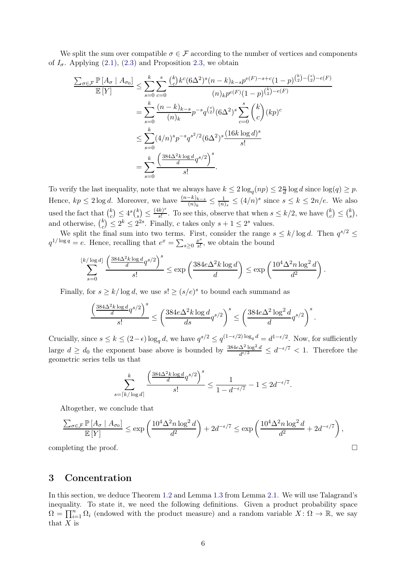We split the sum over compatible  $\sigma \in \mathcal{F}$  according to the number of vertices and components of  $I_{\sigma}$ . Applying [\(2.1\)](#page-3-3), [\(2.3\)](#page-4-1) and Proposition [2.3,](#page-4-2) we obtain

$$
\frac{\sum_{\sigma \in \mathcal{F}} \mathbb{P}[A_{\sigma} | A_{\sigma_0}]}{\mathbb{E}[Y]} \leq \sum_{s=0}^{k} \sum_{c=0}^{s} \frac{\binom{k}{c} k^c (6\Delta^2)^s (n-k)_{k-s} p^{e(F)-s+c} (1-p)^{\binom{k}{2} - \binom{s}{2} - e(F)}}{(n)_{k} p^{e(F)} (1-p)^{\binom{k}{2} - e(F)}}
$$
\n
$$
= \sum_{s=0}^{k} \frac{(n-k)_{k-s}}{(n)_{k}} p^{-s} q^{\binom{s}{2}} (6\Delta^2)^s \sum_{c=0}^{s} \binom{k}{c} (kp)^c
$$
\n
$$
\leq \sum_{s=0}^{k} (4/n)^s p^{-s} q^{s^2/2} (6\Delta^2)^s \frac{(16k \log d)^s}{s!}
$$
\n
$$
= \sum_{s=0}^{k} \frac{\left(\frac{384\Delta^2 k \log d}{d} q^{s/2}\right)^s}{s!}.
$$

To verify the last inequality, note that we always have  $k \leq 2 \log_q(np) \leq 2 \frac{n}{d} \log d$  since  $\log(q) \geq p$ . Hence,  $kp \leq 2 \log d$ . Moreover, we have  $\frac{(n-k)_{k-s}}{(n)_k} \leq \frac{1}{(n)_s} \leq (4/n)^s$  since s  $\frac{1}{(n)_s} \leq (4/n)^s$  since  $s \leq k \leq 2n/e$ . We also used the fact that  $\binom{k}{c}$  $\binom{k}{c} \leq 4^s \binom{k}{s}$  $\binom{k}{s} \leq \frac{(4k)^s}{s!}$  $\frac{k}{s!}$ . To see this, observe that when  $s \leq k/2$ , we have  $\binom{k}{c}$  $\binom{k}{c} \leq \binom{k}{s}$  $_{s}^{k}),$ and otherwise,  $\binom{k}{c}$  $c<sup>k</sup>$ <sub>c</sub>)  $\leq 2<sup>k</sup> \leq 2<sup>2s</sup>$ . Finally, c takes only  $s + 1 \leq 2<sup>s</sup>$  values.

We split the final sum into two terms. First, consider the range  $s \leq k/\log d$ . Then  $q^{s/2} \leq$  $q^{1/\log q} = e$ . Hence, recalling that  $e^x = \sum_{s \geq 0} \frac{x^s}{s!}$  $\frac{x^s}{s!}$ , we obtain the bound

$$
\sum_{s=0}^{\lfloor k/\log d\rfloor } \frac{\left( \frac{384 \Delta^2 k \log d}{d} q^{s/2} \right)^s}{s!} \leq \exp\left( \frac{384 e \Delta^2 k \log d}{d} \right) \leq \exp\left( \frac{10^4 \Delta^2 n \log^2 d}{d^2} \right).
$$

Finally, for  $s \ge k/\log d$ , we use  $s! \ge (s/e)^s$  to bound each summand as

$$
\frac{\left(\frac{384\Delta^2k\log d}{d}q^{s/2}\right)^s}{s!}\leq \left(\frac{384e\Delta^2k\log d}{ds}q^{s/2}\right)^s\leq \left(\frac{384e\Delta^2\log^2 d}{d}q^{s/2}\right)^s.
$$

Crucially, since  $s \leq k \leq (2 - \epsilon) \log_q d$ , we have  $q^{s/2} \leq q^{(1 - \epsilon/2) \log_q d} = d^{1 - \epsilon/2}$ . Now, for sufficiently large  $d \geq d_0$  the exponent base above is bounded by  $\frac{384e\Delta^2\log^2 d}{d^{\epsilon/2}}$  $\frac{\Delta^2 \log^2 d}{d^{\epsilon/2}} \leq d^{-\epsilon/7} < 1$ . Therefore the geometric series tells us that

$$
\sum_{s=\lceil k/\log d\rceil}^k \frac{\left(\frac{384\Delta^2 k \log d}{d} q^{s/2}\right)^s}{s!} \le \frac{1}{1-d^{-\epsilon/7}} - 1 \le 2d^{-\epsilon/7}.
$$

Altogether, we conclude that

$$
\frac{\sum_{\sigma \in \mathcal{F}} \mathbb{P}\left[A_{\sigma} \mid A_{\sigma_0}\right]}{\mathbb{E}\left[Y\right]} \le \exp\left(\frac{10^4 \Delta^2 n \log^2 d}{d^2}\right) + 2d^{-\epsilon/7} \le \exp\left(\frac{10^4 \Delta^2 n \log^2 d}{d^2} + 2d^{-\epsilon/7}\right),
$$
  
completing the proof.

### <span id="page-5-0"></span>3 Concentration

In this section, we deduce Theorem [1.2](#page-2-1) and Lemma [1.3](#page-2-2) from Lemma [2.1.](#page-3-1) We will use Talagrand's inequality. To state it, we need the following definitions. Given a product probability space  $\Omega = \prod_{i=1}^n \Omega_i$  (endowed with the product measure) and a random variable  $X: \Omega \to \mathbb{R}$ , we say that  $X$  is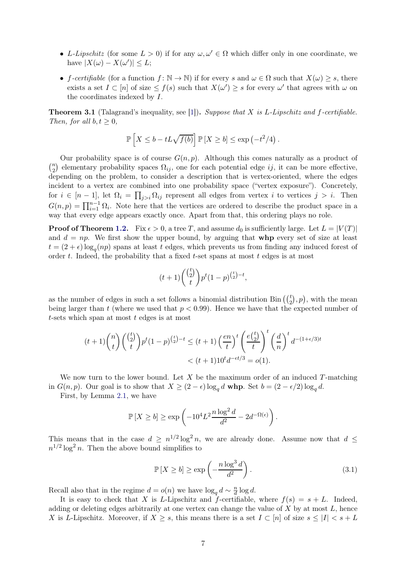- L-Lipschitz (for some  $L > 0$ ) if for any  $\omega, \omega' \in \Omega$  which differ only in one coordinate, we have  $|X(\omega) - X(\omega')| \leq L$ ;
- f-certifiable (for a function  $f: \mathbb{N} \to \mathbb{N}$ ) if for every s and  $\omega \in \Omega$  such that  $X(\omega) \geq s$ , there exists a set  $I \subset [n]$  of size  $\leq f(s)$  such that  $X(\omega') \geq s$  for every  $\omega'$  that agrees with  $\omega$  on the coordinates indexed by I.

Theorem 3.1 (Talagrand's inequality, see [\[1\]](#page-9-4)). *Suppose that* X *is* L*-Lipschitz and* f*-certifiable. Then, for all*  $b, t \geq 0$ *,* 

$$
\mathbb{P}\left[X \leq b - tL\sqrt{f(b)}\right] \mathbb{P}\left[X \geq b\right] \leq \exp\left(-t^2/4\right).
$$

Our probability space is of course  $G(n, p)$ . Although this comes naturally as a product of  $\binom{n}{2}$  $n_2$ ) elementary probability spaces  $\Omega_{ij}$ , one for each potential edge ij, it can be more effective, depending on the problem, to consider a description that is vertex-oriented, where the edges incident to a vertex are combined into one probability space ("vertex exposure"). Concretely, for  $i \in [n-1]$ , let  $\Omega_i = \prod_{j>i} \Omega_{ij}$  represent all edges from vertex i to vertices  $j > i$ . Then  $G(n,p) = \prod_{i=1}^{n-1} \Omega_i$ . Note here that the vertices are ordered to describe the product space in a way that every edge appears exactly once. Apart from that, this ordering plays no role.

**Proof of Theorem [1.2.](#page-2-1)** Fix  $\epsilon > 0$ , a tree T, and assume  $d_0$  is sufficiently large. Let  $L = |V(T)|$ and  $d = np$ . We first show the upper bound, by arguing that **whp** every set of size at least  $t = (2 + \epsilon) \log_q(np)$  spans at least t edges, which prevents us from finding any induced forest of order  $t$ . Indeed, the probability that a fixed  $t$ -set spans at most  $t$  edges is at most

$$
(t+1)\binom{\binom{t}{2}}{t}p^{t}(1-p)^{\binom{t}{2}-t},
$$

as the number of edges in such a set follows a binomial distribution  $\text{Bin}((\binom{t}{2}, p)$ , with the mean being larger than t (where we used that  $p < 0.99$ ). Hence we have that the expected number of  $t$ -sets which span at most  $t$  edges is at most

$$
(t+1)\binom{n}{t}\binom{\binom{t}{2}}{t}p^t(1-p)^{\binom{t}{2}-t} \le (t+1)\left(\frac{en}{t}\right)^t \left(\frac{e\binom{t}{2}}{t}\right)^t \left(\frac{d}{n}\right)^t d^{-(1+\epsilon/3)t}
$$

$$
< (t+1)10^t d^{-\epsilon t/3} = o(1).
$$

We now turn to the lower bound. Let  $X$  be the maximum order of an induced  $T$ -matching in  $G(n, p)$ . Our goal is to show that  $X \ge (2 - \epsilon) \log_q d$  whp. Set  $b = (2 - \epsilon/2) \log_q d$ .

First, by Lemma [2.1,](#page-3-1) we have

$$
\mathbb{P}\left[X \ge b\right] \ge \exp\left(-10^4 L^2 \frac{n \log^2 d}{d^2} - 2d^{-\Omega(\epsilon)}\right).
$$

This means that in the case  $d \geq n^{1/2} \log^2 n$ , we are already done. Assume now that  $d \leq$  $n^{1/2} \log^2 n$ . Then the above bound simplifies to

<span id="page-6-0"></span>
$$
\mathbb{P}\left[X \ge b\right] \ge \exp\left(-\frac{n\log^3 d}{d^2}\right). \tag{3.1}
$$

Recall also that in the regime  $d = o(n)$  we have  $\log_q d \sim \frac{n}{d}$  $\frac{n}{d} \log d$ .

It is easy to check that X is L-Lipschitz and f-certifiable, where  $f(s) = s + L$ . Indeed, adding or deleting edges arbitrarily at one vertex can change the value of  $X$  by at most  $L$ , hence X is L-Lipschitz. Moreover, if  $X \geq s$ , this means there is a set  $I \subset [n]$  of size  $s \leq |I| < s + L$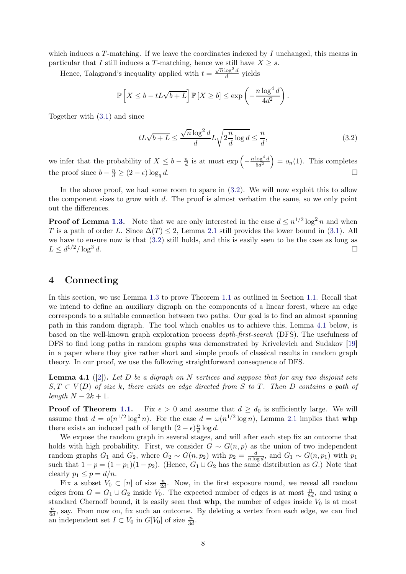which induces a  $T$ -matching. If we leave the coordinates indexed by  $I$  unchanged, this means in particular that I still induces a T-matching, hence we still have  $X \geq s$ .

Hence, Talagrand's inequality applied with  $t = \frac{\sqrt{n} \log^2 d}{d}$  $rac{log a}{d}$  yields

$$
\mathbb{P}\left[X \leq b - tL\sqrt{b+L}\right] \mathbb{P}\left[X \geq b\right] \leq \exp\left(-\frac{n\log^4 d}{4d^2}\right).
$$

Together with [\(3.1\)](#page-6-0) and since

<span id="page-7-0"></span>
$$
tL\sqrt{b+L} \le \frac{\sqrt{n}\log^2 d}{d}L\sqrt{2\frac{n}{d}\log d} \le \frac{n}{d},\tag{3.2}
$$

we infer that the probability of  $X \leq b - \frac{n}{d}$  $\frac{n}{d}$  is at most  $\exp\left(-\frac{1}{2}\right)$  $n \log^4 d$  $\frac{\log^4 d}{5d^2}$  =  $o_n(1)$ . This completes the proof since  $b - \frac{n}{d} \ge (2 - \epsilon) \log_q d$ .

In the above proof, we had some room to spare in  $(3.2)$ . We will now exploit this to allow the component sizes to grow with  $d$ . The proof is almost verbatim the same, so we only point out the differences.

**Proof of Lemma [1.3.](#page-2-2)** Note that we are only interested in the case  $d \leq n^{1/2} \log^2 n$  and when T is a path of order L. Since  $\Delta(T) \leq 2$ , Lemma [2.1](#page-3-1) still provides the lower bound in [\(3.1\)](#page-6-0). All we have to ensure now is that [\(3.2\)](#page-7-0) still holds, and this is easily seen to be the case as long as  $L \leq d^{1/2} / \log^3$ d.

### 4 Connecting

In this section, we use Lemma [1.3](#page-2-2) to prove Theorem [1.1](#page-1-0) as outlined in Section [1.1.](#page-1-1) Recall that we intend to define an auxiliary digraph on the components of a linear forest, where an edge corresponds to a suitable connection between two paths. Our goal is to find an almost spanning path in this random digraph. The tool which enables us to achieve this, Lemma [4.1](#page-7-1) below, is based on the well-known graph exploration process *depth-first-search* (DFS). The usefulness of DFS to find long paths in random graphs was demonstrated by Krivelevich and Sudakov [\[19\]](#page-10-16) in a paper where they give rather short and simple proofs of classical results in random graph theory. In our proof, we use the following straightforward consequence of DFS.

<span id="page-7-1"></span>Lemma 4.1 ([\[2\]](#page-9-5)). *Let* D *be a digraph on* N *vertices and suppose that for any two disjoint sets*  $S, T \subset V(D)$  *of size* k*, there exists an edge directed from* S to T. Then D *contains a path of*  $length N - 2k + 1$ .

**Proof of Theorem [1.1.](#page-1-0)** Fix  $\epsilon > 0$  and assume that  $d \geq d_0$  is sufficiently large. We will assume that  $d = o(n^{1/2} \log^2 n)$ . For the case  $d = \omega(n^{1/2} \log n)$ , Lemma [2.1](#page-3-1) implies that whp there exists an induced path of length  $(2 - \epsilon) \frac{n}{d}$  $\frac{n}{d} \log d$ .

We expose the random graph in several stages, and will after each step fix an outcome that holds with high probability. First, we consider  $G \sim G(n, p)$  as the union of two independent random graphs  $G_1$  and  $G_2$ , where  $G_2 \sim G(n, p_2)$  with  $p_2 = \frac{d}{n \log d}$ , and  $G_1 \sim G(n, p_1)$  with  $p_1$ such that  $1 - p = (1 - p_1)(1 - p_2)$ . (Hence,  $G_1 \cup G_2$  has the same distribution as G.) Note that clearly  $p_1 \leq p = d/n$ .

Fix a subset  $V_0 \subset [n]$  of size  $\frac{n}{2d}$ . Now, in the first exposure round, we reveal all random edges from  $G = G_1 \cup G_2$  inside  $V_0$ . The expected number of edges is at most  $\frac{n}{8d}$ , and using a standard Chernoff bound, it is easily seen that  $whp$ , the number of edges inside  $V_0$  is at most n  $\frac{n}{6d}$ , say. From now on, fix such an outcome. By deleting a vertex from each edge, we can find an independent set  $I \subset V_0$  in  $G[V_0]$  of size  $\frac{n}{3d}$ .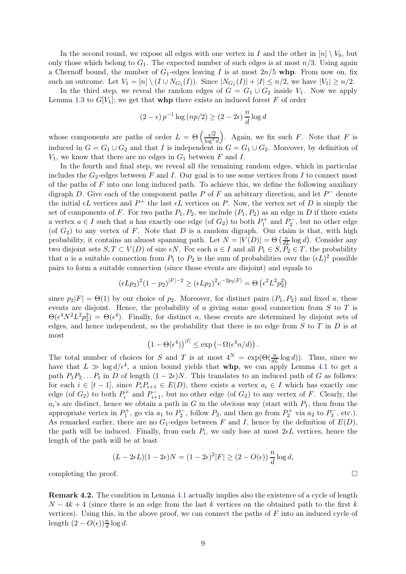In the second round, we expose all edges with one vertex in I and the other in  $[n] \setminus V_0$ , but only those which belong to  $G_1$ . The expected number of such edges is at most  $n/3$ . Using again a Chernoff bound, the number of  $G_1$ -edges leaving I is at most  $2n/5$  whp. From now on, fix such an outcome. Let  $V_1 = [n] \setminus (I \cup N_{G_1}(I))$ . Since  $|N_{G_1}(I)| + |I| \le n/2$ , we have  $|V_1| \ge n/2$ .

In the third step, we reveal the random edges of  $G = G_1 \cup G_2$  inside  $V_1$ . Now we apply Lemma [1.3](#page-2-2) to  $G[V_1]$ ; we get that **whp** there exists an induced forest F of order

$$
(2 - \epsilon) p^{-1} \log (np/2) \ge (2 - 2\epsilon) \frac{n}{d} \log d
$$

whose components are paths of order  $L = \Theta \left( \frac{\sqrt{d}}{\log^3 d} \right)$ ). Again, we fix such  $F$ . Note that  $F$  is induced in  $G = G_1 \cup G_2$  and that I is independent in  $G = G_1 \cup G_2$ . Moreover, by definition of  $V_1$ , we know that there are no edges in  $G_1$  between F and I.

In the fourth and final step, we reveal all the remaining random edges, which in particular includes the  $G_2$ -edges between F and I. Our goal is to use some vertices from I to connect most of the paths of  $F$  into one long induced path. To achieve this, we define the following auxiliary digraph D. Give each of the component paths P of F an arbitrary direction, and let  $P^-$  denote the initial  $\epsilon L$  vertices and  $P^+$  the last  $\epsilon L$  vertices on P. Now, the vertex set of D is simply the set of components of F. For two paths  $P_1, P_2$ , we include  $(P_1, P_2)$  as an edge in D if there exists a vertex  $a \in I$  such that a has exactly one edge (of  $G_2$ ) to both  $P_1^+$  and  $P_2^-$ , but no other edge (of  $G_2$ ) to any vertex of F. Note that D is a random digraph. Our claim is that, with high probability, it contains an almost spanning path. Let  $N = |V(D)| = \Theta\left(\frac{n}{dL}\log d\right)$ . Consider any two disjoint sets  $S, T \subset V(D)$  of size  $\epsilon N$ . For each  $a \in I$  and all  $P_1 \in S, P_2 \in T$ , the probability that a is a suitable connection from  $P_1$  to  $P_2$  is the sum of probabilities over the  $(\epsilon L)^2$  possible pairs to form a suitable connection (since those events are disjoint) and equals to

$$
(\epsilon L p_2)^2 (1 - p_2)^{|F| - 2} \ge (\epsilon L p_2)^2 e^{-2p_2 |F|} = \Theta \left(\epsilon^2 L^2 p_2^2\right)
$$

since  $p_2|F| = \Theta(1)$  by our choice of  $p_2$ . Moreover, for distinct pairs  $(P_1, P_2)$  and fixed a, these events are disjoint. Hence, the probability of  $\alpha$  giving some good connection from  $S$  to  $T$  is  $\Theta(\epsilon^4 N^2 L^2 p_2^2) = \Theta(\epsilon^4)$ . Finally, for distinct a, these events are determined by disjoint sets of edges, and hence independent, so the probability that there is no edge from  $S$  to  $T$  in  $D$  is at most

$$
(1 - \Theta(\epsilon^4))^{|I|} \le \exp(-\Omega(\epsilon^4 n/d)).
$$

The total number of choices for S and T is at most  $4^N = \exp(\Theta(\frac{n}{dL} \log d))$ . Thus, since we have that  $L \gg \log d/\epsilon^4$ , a union bound yields that **whp**, we can apply Lemma [4.1](#page-7-1) to get a path  $P_1P_2...P_t$  in D of length  $(1-2\epsilon)N$ . This translates to an induced path of G as follows: for each  $i \in [t-1]$ , since  $P_i P_{i+1} \in E(D)$ , there exists a vertex  $a_i \in I$  which has exactly one edge (of  $G_2$ ) to both  $P_i^+$  and  $P_{i+1}^-$ , but no other edge (of  $G_2$ ) to any vertex of F. Clearly, the  $a_i$ 's are distinct, hence we obtain a path in G in the obvious way (start with  $P_1$ , then from the appropriate vertex in  $P_1^+$ , go via  $a_1$  to  $P_2^-$ , follow  $P_2$ , and then go from  $P_2^+$  via  $a_2$  to  $P_3^-$ , etc.). As remarked earlier, there are no  $G_1$ -edges between F and I, hence by the definition of  $E(D)$ , the path will be induced. Finally, from each  $P_i$ , we only lose at most  $2\not\in L$  vertices, hence the length of the path will be at least

$$
(L-2\epsilon L)(1-2\epsilon)N=(1-2\epsilon)^2|F|\geq (2-O(\epsilon))\,\frac{n}{d}\log d,
$$
 completing the proof.

<span id="page-8-0"></span>Remark 4.2. The condition in Lemma [4.1](#page-7-1) actually implies also the existence of a cycle of length  $N-4k+4$  (since there is an edge from the last k vertices on the obtained path to the first k vertices). Using this, in the above proof, we can connect the paths of  $F$  into an induced cycle of length  $(2 - O(\epsilon))\frac{n}{d} \log d$ .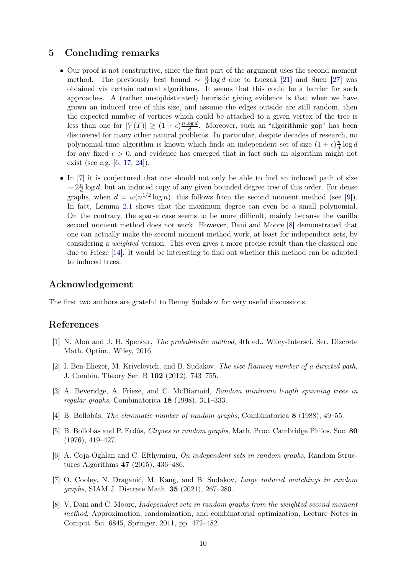# 5 Concluding remarks

- Our proof is not constructive, since the first part of the argument uses the second moment method. The previously best bound  $\sim \frac{n}{d}$  $\frac{n}{d}$  log d due to Łuczak [\[21\]](#page-10-8) and Suen [\[27\]](#page-10-9) was obtained via certain natural algorithms. It seems that this could be a barrier for such approaches. A (rather unsophisticated) heuristic giving evidence is that when we have grown an induced tree of this size, and assume the edges outside are still random, then the expected number of vertices which could be attached to a given vertex of the tree is less than one for  $|V(T)| \geq (1 + \epsilon)^{\frac{n \log d}{d}}$  $\frac{\log a}{d}$ . Moreover, such an "algorithmic gap" has been discovered for many other natural problems. In particular, despite decades of research, no polynomial-time algorithm is known which finds an independent set of size  $(1 + \epsilon) \frac{n}{d}$  $\frac{n}{d} \log d$ for any fixed  $\epsilon > 0$ , and evidence has emerged that in fact such an algorithm might not exist (see e.g. [\[6,](#page-9-6) [17,](#page-10-17) [24\]](#page-10-18)).
- In [\[7\]](#page-9-1) it is conjectured that one should not only be able to find an induced path of size  $\sim 2\frac{n}{d}$  $\frac{n}{d}$  log d, but an induced copy of any given bounded degree tree of this order. For dense graphs, when  $d = \omega(n^{1/2} \log n)$ , this follows from the second moment method (see [\[9\]](#page-10-15)). In fact, Lemma [2.1](#page-3-1) shows that the maximum degree can even be a small polynomial. On the contrary, the sparse case seems to be more difficult, mainly because the vanilla second moment method does not work. However, Dani and Moore [\[8\]](#page-9-7) demonstrated that one can actually make the second moment method work, at least for independent sets, by considering a *weighted* version. This even gives a more precise result than the classical one due to Frieze [\[14\]](#page-10-10). It would be interesting to find out whether this method can be adapted to induced trees.

### Acknowledgement

The first two authors are grateful to Benny Sudakov for very useful discussions.

# <span id="page-9-4"></span>References

- <span id="page-9-5"></span>[1] N. Alon and J. H. Spencer, *The probabilistic method*, 4th ed., Wiley-Intersci. Ser. Discrete Math. Optim., Wiley, 2016.
- [2] I. Ben-Eliezer, M. Krivelevich, and B. Sudakov, *The size Ramsey number of a directed path*, J. Combin. Theory Ser. B 102 (2012), 743–755.
- <span id="page-9-3"></span>[3] A. Beveridge, A. Frieze, and C. McDiarmid, *Random minimum length spanning trees in regular graphs*, Combinatorica 18 (1998), 311–333.
- <span id="page-9-2"></span><span id="page-9-0"></span>[4] B. Bollobás, *The chromatic number of random graphs*, Combinatorica 8 (1988), 49–55.
- [5] B. Bollobás and P. Erdős, *Cliques in random graphs*, Math. Proc. Cambridge Philos. Soc. 80 (1976), 419–427.
- <span id="page-9-6"></span>[6] A. Coja-Oghlan and C. Efthymiou, *On independent sets in random graphs*, Random Structures Algorithms 47 (2015), 436–486.
- <span id="page-9-1"></span>[7] O. Cooley, N. Draganić, M. Kang, and B. Sudakov, *Large induced matchings in random graphs*, SIAM J. Discrete Math. 35 (2021), 267–280.
- <span id="page-9-7"></span>[8] V. Dani and C. Moore, *Independent sets in random graphs from the weighted second moment method*, Approximation, randomization, and combinatorial optimization, Lecture Notes in Comput. Sci. 6845, Springer, 2011, pp. 472–482.